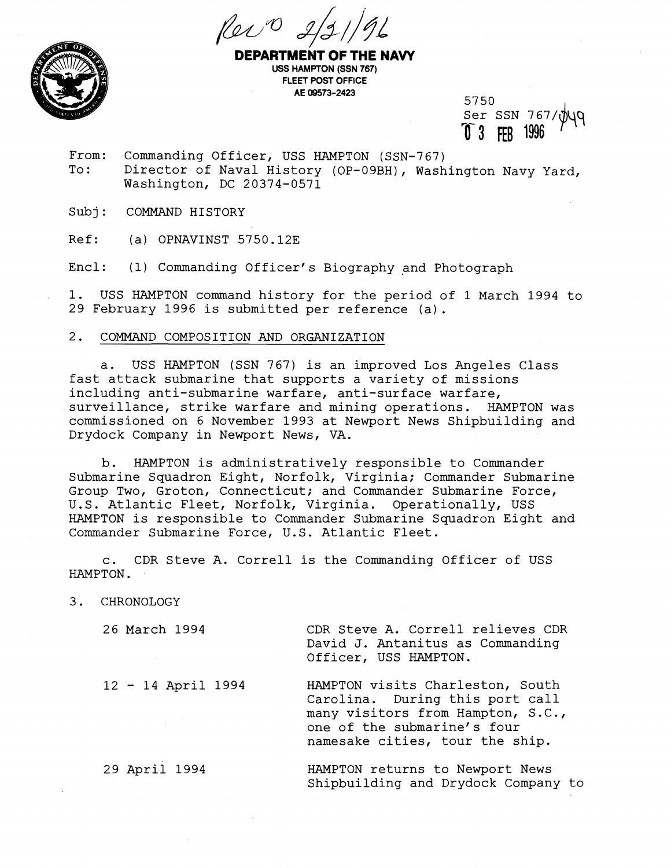



**PARTMENT OF THE NAVY USS HAMPTON (SSN 767) FLEET POST OFFICE AE 09573-2423** 

5750 Ser SSN 767/ **1996 1996** 

From: Commanding Officer, USS HAMPTON (SSN-767)<br>To: Director of Naval History (OP-09BH), Wash Director of Naval History (OP-09BH), Washington Navy Yard, Washington, DC 20374-0571

Subj: COMMAND HISTORY

Ref: (a) OPNAVINST 5750.12E

Encl: (1) Commanding Officer's Biography and photograph

1. USS HAMPTON command history for the period of 1 March 1994 to 29 February 1996 is submitted per reference (a).

## 2. COMMAND COMPOSITION AND ORGANIZATION

a. USS HAMPTON (SSN 767) is an improved Los Angeles Class fast attack submarine that supports a variety of missions including anti-submarine warfare, anti-surface warfare, surveillance, strike warfare and mining operations. HAMPTON was commissioned on 6 November 1993 at Newport News Shipbuilding and Drydock Company in Newport News, VA.

b. HAMPTON is administratively responsible to Commander Submarine Squadron Eight, Norfolk, Virginia; Commander Submarine Group TWO, Groton, Connecticut; and Commander Submarine Force, U. S. Atlantic Fleet, Norfolk, Virginia. Operationally, USS HAMPTON is responsible to Commander Submarine Squadron Eight and Commander Submarine Force, U.S. Atlantic Fleet.

c. CDR Steve A. Correll is the Commanding Officer of USS HAMPTON.

3. CHRONOLOGY

26 March 1994 CDR Steve A. Correll relieves CDR David J. Antanitus as Commanding Officer, USS HAMPTON.

<sup>12</sup>- 14 April 1994 HAMPTON visits Charleston, South Carolina. During this port call many visitors from Hampton, S.C., one of the submarine's four namesake cities, tour the ship.

29 April 1994 HAMPTON returns to Newport News Shipbuilding and Drydock Company to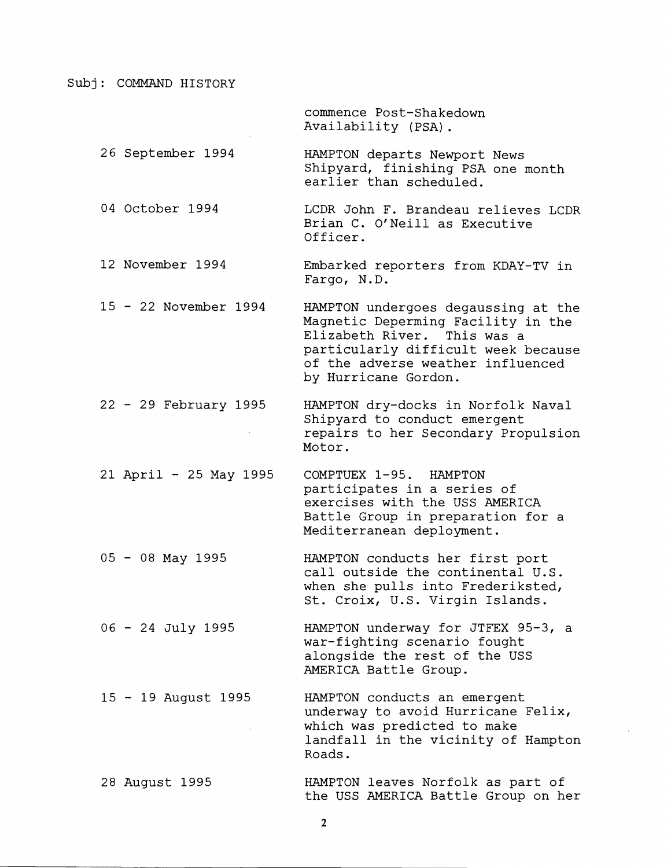Subj: COMMAND HISTORY

commence Post-Shakedown Availability (PSA) .

26 September 1994 HAMPTON departs Newport News Shipyard, finishing PSA one month earlier than scheduled.

04 October 1994 LCDR John F. Brandeau relieves LCDR Brian C. O'Neill as Executive Officer.

12 November 1994 Embarked reporters from KDAY-TV in Fargo, N.D.

<sup>15</sup>- 22 November 1994 HAMPTON undergoes degaussing at the Magnetic Deperming Facility in the Elizabeth River. particularly difficult week because of the adverse weather influenced by Hurricane Gordon.

<sup>22</sup>- 29 February 1995 HAMPTON dry-docks in Norfolk Naval Shipyard to conduct emergent repairs to her Secondary Propulsion Motor.

21 April - 25 May 1995 COMPTUEX 1-95. HAMPTON participates in a series of exercises with the USS AMERICA Battle Group in preparation for a Mediterranean deployment.

<sup>05</sup>- 08 May 1995 HAMPTON conducts her first port call outside the continental U.S. when she pulls into Frederiksted, St. Croix, U.S. Virgin Islands.

<sup>06</sup>- 24 July 1995 HAMPTON underway for JTFEX 95-3, a war-fighting scenario fought alongside the rest of the USS AMERICA Battle Group.

<sup>15</sup>- 19 August 1995 HAMPTON conducts an emergent underway to avoid Hurricane Felix, which was predicted to make landfall in the vicinity of Hampton Roads.

28 August 1995 HAMPTON leaves Norfolk as part of the USS AMERICA Battle Group on her

 $\overline{2}$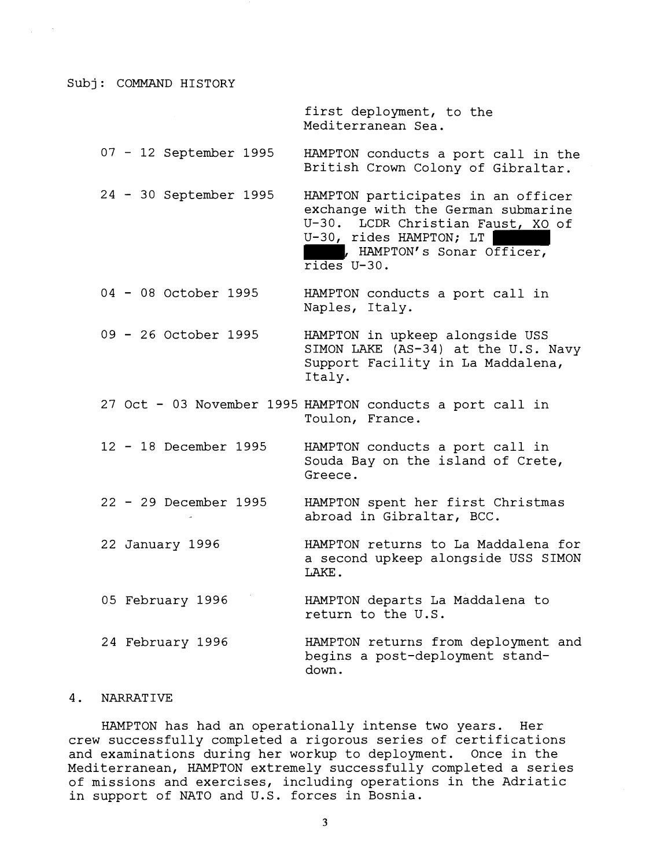Subj: COMMAND HISTORY

first deployment, to the Mediterranean Sea.

<sup>07</sup>- 12 September 1995 HAMPTON conducts a port call in the British Crown Colony of Gibraltar.

24 - 30 September 1995 HAMPTON participates in an officer exchange with the German submarine U-30. LCDR Christian Faust, XO of U-30, rides HAMPTON; LT | , HAMPTON' s Sonar Officer, rides U-30.

<sup>04</sup>- 08 October 1995 HAMPTON conducts a port call in Naples, Italy.

<sup>09</sup>- 26 October 1995 HAMPTON in upkeep alongside USS SIMON LAKE (AS-34) at the U.S. Navy Support Facility in La Maddalena, Italy.

27 Oct - 03 November 1995 HAMPTON conducts a port call in Toulon, France.

<sup>12</sup>- 18 December 1995 HAMPTON conducts a port call in Souda Bay on the island of Crete, Greece.

<sup>22</sup>- 29 December 1995 HAMPTON spent her first Christmas abroad in Gibraltar, BCC.

22 January 1996 HAMPTON returns to La Maddalena for a second upkeep alongside USS SIMON LAKE.

05 February 1996 HAMPTON departs La Maddalena to return to the U.S.

24 February 1996 HAMPTON returns from deployment and begins a post-deployment standdown.

## 4. NARRATIVE

HAMPTON has had an operationally intense two years. Her crew successfully completed a rigorous series of certifications and examinations during her workup to deployment. Once in the Mediterranean, HAMPTON extremely successfully completed a series of missions and exercises, including operations in the Adriatic in support of NATO and U.S. forces in Bosnia.

3